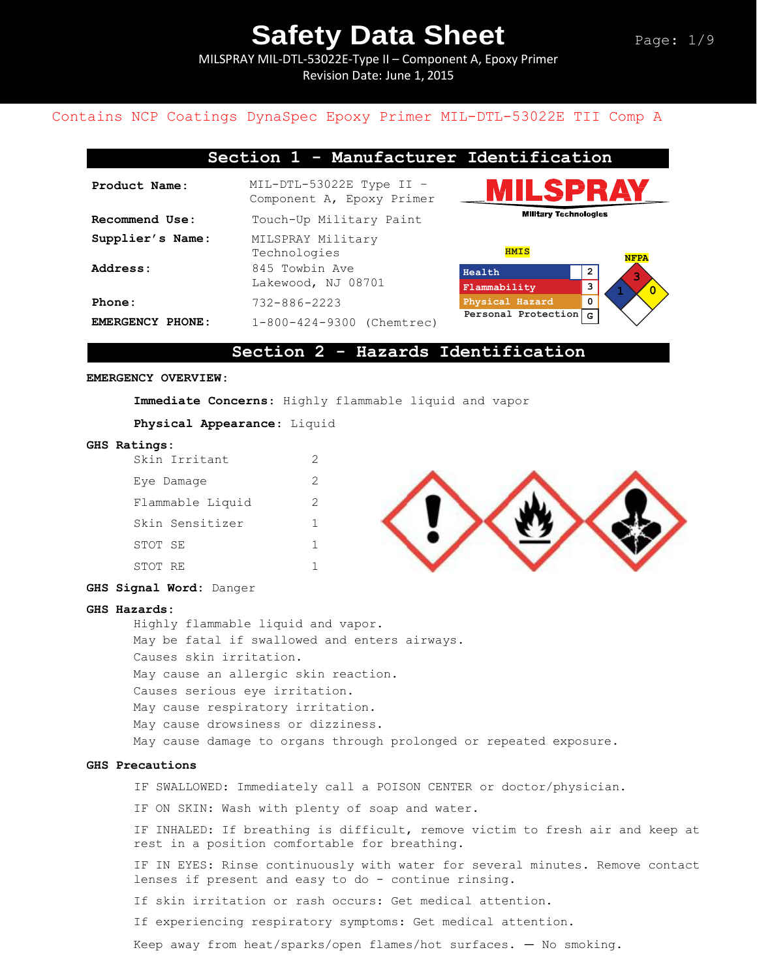MILSPRAY MIL-DTL-53022E-Type II – Component A, Epoxy Primer Revision Date: June 1, 2015

#### Contains NCP Coatings DynaSpec Epoxy Primer MIL-DTL-53022E TII Comp A

| Section 1 - Manufacturer Identification |                                                         |                              |             |
|-----------------------------------------|---------------------------------------------------------|------------------------------|-------------|
| Product Name:                           | $MIL-DTL-53022E$ Type II -<br>Component A, Epoxy Primer |                              | ILSPRAY     |
| Recommend Use:                          | Touch-Up Military Paint                                 | <b>Military Technologies</b> |             |
| Supplier's Name:                        | MILSPRAY Military<br>Technologies                       | <b>HMIS</b>                  | <b>NFPA</b> |
| Address:                                | 845 Towbin Ave<br>Lakewood, NJ 08701                    | Health<br>Flammability       | 2<br>3      |
| Phone:                                  | $732 - 886 - 2223$                                      | Physical Hazard              | 0           |
| EMERGENCY PHONE:                        | 1-800-424-9300 (Chemtrec)                               | Personal Protection          | G           |

#### **Section 2 - Hazards Identification**

#### **EMERGENCY OVERVIEW:**

**Immediate Concerns**: Highly flammable liquid and vapor

**Physical Appearance**: Liquid

#### **GHS Ratings:**

|         | Skin Irritant    | 2 |
|---------|------------------|---|
|         | Eye Damaqe       | 2 |
|         | Flammable Liquid | 2 |
|         | Skin Sensitizer  | 1 |
| STOT SE |                  | 1 |
| STOT RE |                  |   |



#### **GHS Signal Word:** Danger

#### **GHS Hazards:**

Highly flammable liquid and vapor. May be fatal if swallowed and enters airways. Causes skin irritation. May cause an allergic skin reaction. Causes serious eye irritation. May cause respiratory irritation. May cause drowsiness or dizziness. May cause damage to organs through prolonged or repeated exposure.

#### **GHS Precautions**

IF SWALLOWED: Immediately call a POISON CENTER or doctor/physician.

IF ON SKIN: Wash with plenty of soap and water.

IF INHALED: If breathing is difficult, remove victim to fresh air and keep at rest in a position comfortable for breathing.

IF IN EYES: Rinse continuously with water for several minutes. Remove contact lenses if present and easy to do - continue rinsing.

If skin irritation or rash occurs: Get medical attention.

If experiencing respiratory symptoms: Get medical attention.

Keep away from heat/sparks/open flames/hot surfaces. — No smoking.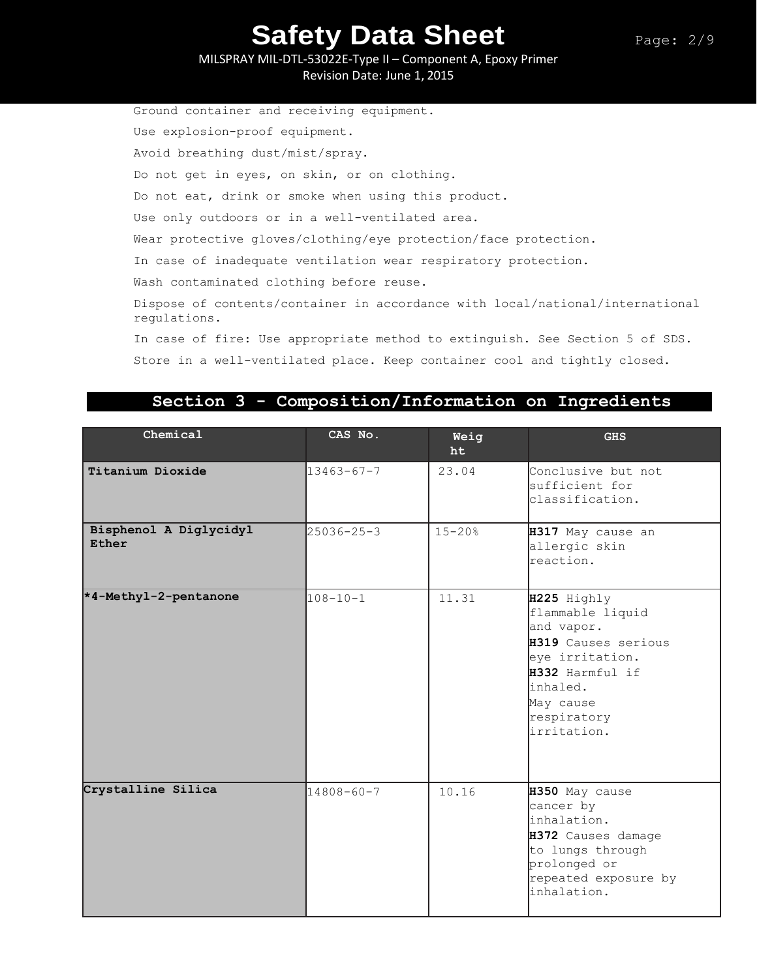MILSPRAY MIL-DTL-53022E-Type II – Component A, Epoxy Primer Revision Date: June 1, 2015

Ground container and receiving equipment. Use explosion-proof equipment. Avoid breathing dust/mist/spray. Do not get in eyes, on skin, or on clothing. Do not eat, drink or smoke when using this product. Use only outdoors or in a well-ventilated area. Wear protective gloves/clothing/eye protection/face protection. In case of inadequate ventilation wear respiratory protection. Wash contaminated clothing before reuse. Dispose of contents/container in accordance with local/national/international regulations. In case of fire: Use appropriate method to extinguish. See Section 5 of SDS. Store in a well-ventilated place. Keep container cool and tightly closed.

### **Section 3 - Composition/Information on Ingredients**

| Chemical                        | CAS No.          | Weig<br>ht | <b>GHS</b>                                                                                                                                                        |
|---------------------------------|------------------|------------|-------------------------------------------------------------------------------------------------------------------------------------------------------------------|
| Titanium Dioxide                | $13463 - 67 - 7$ | 23.04      | Conclusive but not<br>sufficient for<br>classification.                                                                                                           |
| Bisphenol A Diglycidyl<br>Ether | $25036 - 25 - 3$ | $15 - 20%$ | H317 May cause an<br>allergic skin<br>reaction.                                                                                                                   |
| *4-Methyl-2-pentanone           | $108 - 10 - 1$   | 11.31      | H225 Highly<br>flammable liquid<br>and vapor.<br>H319 Causes serious<br>eye irritation.<br>H332 Harmful if<br>inhaled.<br>May cause<br>respiratory<br>irritation. |
| Crystalline Silica              | $14808 - 60 - 7$ | 10.16      | H350 May cause<br>cancer by<br>inhalation.<br>H372 Causes damage<br>to lungs through<br>prolonged or<br>repeated exposure by<br>inhalation.                       |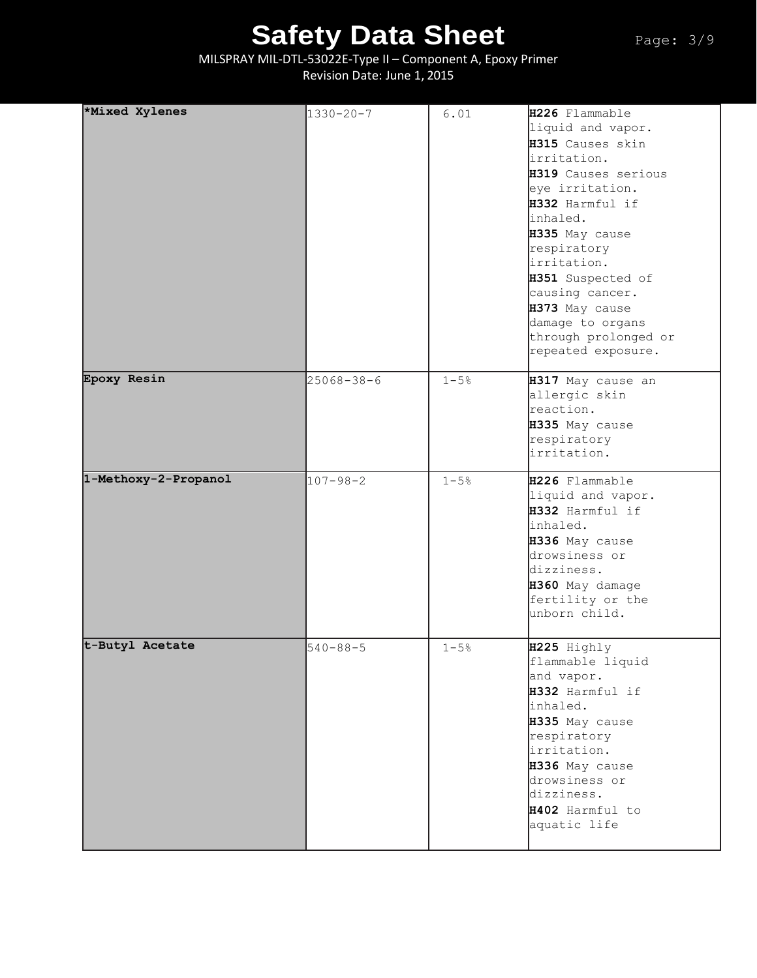MILSPRAY MIL-DTL-53022E-Type II – Component A, Epoxy Primer Revision Date: June 1, 2015

| *Mixed Xylenes       | $1330 - 20 - 7$  | 6.01     | H226 Flammable<br>liquid and vapor.<br>H315 Causes skin<br>irritation.<br>H319 Causes serious<br>eye irritation.<br>H332 Harmful if<br>inhaled.<br>H335 May cause<br>respiratory<br>lirritation.<br>H351 Suspected of<br>causing cancer.<br>H373 May cause<br>damage to organs<br>through prolonged or<br>repeated exposure. |
|----------------------|------------------|----------|------------------------------------------------------------------------------------------------------------------------------------------------------------------------------------------------------------------------------------------------------------------------------------------------------------------------------|
| Epoxy Resin          | $25068 - 38 - 6$ | $1 - 5%$ | H317 May cause an<br>allergic skin<br>reaction.<br>H335 May cause<br>respiratory<br>irritation.                                                                                                                                                                                                                              |
| 1-Methoxy-2-Propanol | $107 - 98 - 2$   | $1 - 5%$ | H226 Flammable<br>liquid and vapor.<br>H332 Harmful if<br>inhaled.<br>H336 May cause<br>drowsiness or<br>dizziness.<br>H360 May damage<br>fertility or the<br>unborn child.                                                                                                                                                  |
| t-Butyl Acetate      | $540 - 88 - 5$   | $1 - 5%$ | H225 Highly<br>flammable liquid<br>and vapor.<br>H332 Harmful if<br>inhaled.<br>H335 May cause<br>respiratory<br>irritation.<br>H336 May cause<br>drowsiness or<br>dizziness.<br>H402 Harmful to<br>aquatic life                                                                                                             |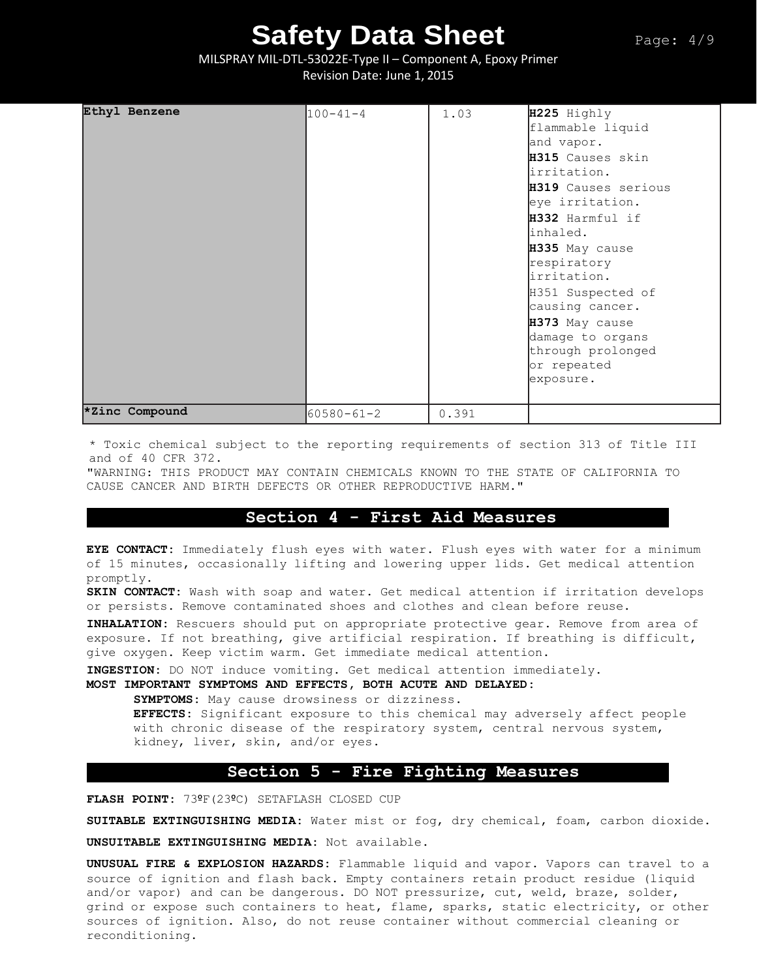MILSPRAY MIL-DTL-53022E-Type II – Component A, Epoxy Primer Revision Date: June 1, 2015

| Ethyl Benzene  | $100 - 41 - 4$   | 1.03  | H225 Highly<br>flammable liquid<br>and vapor.<br>H315 Causes skin<br>irritation.<br>H319 Causes serious<br>eye irritation.<br>H332 Harmful if<br>inhaled.<br>H335 May cause<br>respiratory<br>irritation.<br>H351 Suspected of<br>causing cancer.<br>H373 May cause<br>damage to organs<br>through prolonged<br>or repeated<br>exposure. |
|----------------|------------------|-------|------------------------------------------------------------------------------------------------------------------------------------------------------------------------------------------------------------------------------------------------------------------------------------------------------------------------------------------|
| *Zinc Compound | $60580 - 61 - 2$ | 0.391 |                                                                                                                                                                                                                                                                                                                                          |

\* Toxic chemical subject to the reporting requirements of section 313 of Title III and of 40 CFR 372.

"WARNING: THIS PRODUCT MAY CONTAIN CHEMICALS KNOWN TO THE STATE OF CALIFORNIA TO CAUSE CANCER AND BIRTH DEFECTS OR OTHER REPRODUCTIVE HARM."

### **Section 4 - First Aid Measures**

**EYE CONTACT:** Immediately flush eyes with water. Flush eyes with water for a minimum of 15 minutes, occasionally lifting and lowering upper lids. Get medical attention promptly.

**SKIN CONTACT:** Wash with soap and water. Get medical attention if irritation develops or persists. Remove contaminated shoes and clothes and clean before reuse.

**INHALATION:** Rescuers should put on appropriate protective gear. Remove from area of exposure. If not breathing, give artificial respiration. If breathing is difficult, give oxygen. Keep victim warm. Get immediate medical attention.

**INGESTION:** DO NOT induce vomiting. Get medical attention immediately.

**MOST IMPORTANT SYMPTOMS AND EFFECTS, BOTH ACUTE AND DELAYED:**

**SYMPTOMS:** May cause drowsiness or dizziness.

**EFFECTS:** Significant exposure to this chemical may adversely affect people with chronic disease of the respiratory system, central nervous system, kidney, liver, skin, and/or eyes.

#### **Section 5 - Fire Fighting Measures**

**FLASH POINT:** 73ºF(23ºC) SETAFLASH CLOSED CUP

**SUITABLE EXTINGUISHING MEDIA:** Water mist or fog, dry chemical, foam, carbon dioxide.

**UNSUITABLE EXTINGUISHING MEDIA:** Not available.

**UNUSUAL FIRE & EXPLOSION HAZARDS:** Flammable liquid and vapor. Vapors can travel to a source of ignition and flash back. Empty containers retain product residue (liquid and/or vapor) and can be dangerous. DO NOT pressurize, cut, weld, braze, solder, grind or expose such containers to heat, flame, sparks, static electricity, or other sources of ignition. Also, do not reuse container without commercial cleaning or reconditioning.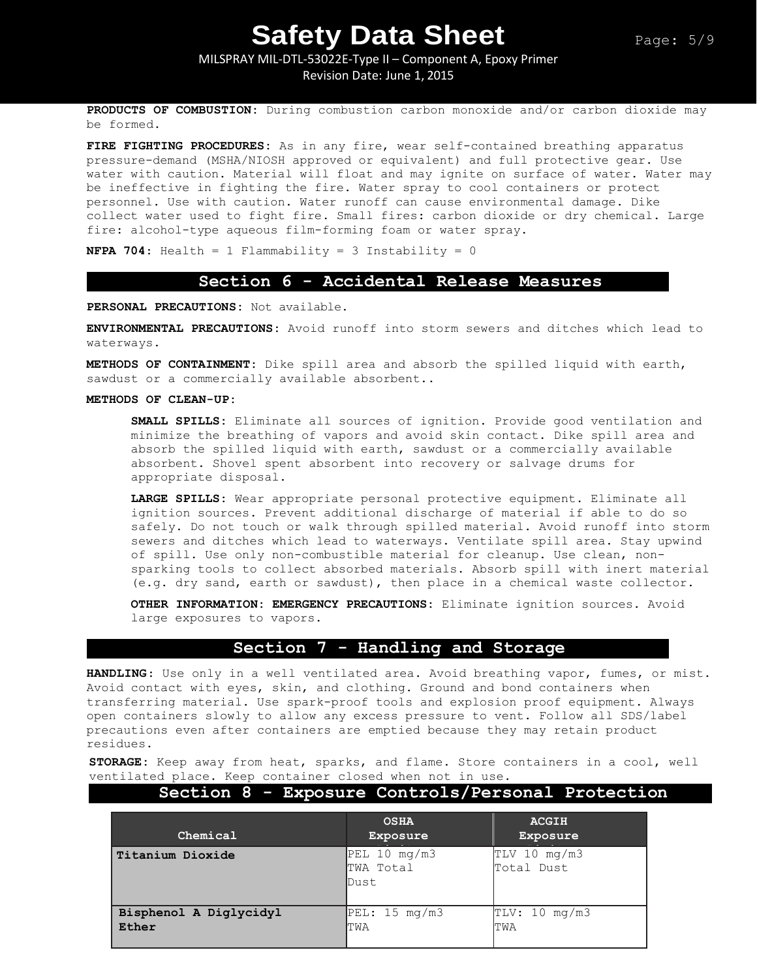### MILSPRAY MIL-DTL-53022E-Type II – Component A, Epoxy Primer Revision Date: June 1, 2015

**PRODUCTS OF COMBUSTION:** During combustion carbon monoxide and/or carbon dioxide may be formed.

**FIRE FIGHTING PROCEDURES:** As in any fire, wear self-contained breathing apparatus pressure-demand (MSHA/NIOSH approved or equivalent) and full protective gear. Use water with caution. Material will float and may ignite on surface of water. Water may be ineffective in fighting the fire. Water spray to cool containers or protect personnel. Use with caution. Water runoff can cause environmental damage. Dike collect water used to fight fire. Small fires: carbon dioxide or dry chemical. Large fire: alcohol-type aqueous film-forming foam or water spray.

**NFPA 704:** Health = 1 Flammability = 3 Instability = 0

#### **Section 6 - Accidental Release Measures**

**PERSONAL PRECAUTIONS:** Not available.

**ENVIRONMENTAL PRECAUTIONS:** Avoid runoff into storm sewers and ditches which lead to waterways.

**METHODS OF CONTAINMENT:** Dike spill area and absorb the spilled liquid with earth, sawdust or a commercially available absorbent..

#### **METHODS OF CLEAN-UP:**

**SMALL SPILLS:** Eliminate all sources of ignition. Provide good ventilation and minimize the breathing of vapors and avoid skin contact. Dike spill area and absorb the spilled liquid with earth, sawdust or a commercially available absorbent. Shovel spent absorbent into recovery or salvage drums for appropriate disposal.

**LARGE SPILLS:** Wear appropriate personal protective equipment. Eliminate all ignition sources. Prevent additional discharge of material if able to do so safely. Do not touch or walk through spilled material. Avoid runoff into storm sewers and ditches which lead to waterways. Ventilate spill area. Stay upwind of spill. Use only non-combustible material for cleanup. Use clean, nonsparking tools to collect absorbed materials. Absorb spill with inert material (e.g. dry sand, earth or sawdust), then place in a chemical waste collector.

**OTHER INFORMATION: EMERGENCY PRECAUTIONS:** Eliminate ignition sources. Avoid large exposures to vapors.

### **Section 7 - Handling and Storage**

**HANDLING**: Use only in a well ventilated area. Avoid breathing vapor, fumes, or mist. Avoid contact with eyes, skin, and clothing. Ground and bond containers when transferring material. Use spark-proof tools and explosion proof equipment. Always open containers slowly to allow any excess pressure to vent. Follow all SDS/label precautions even after containers are emptied because they may retain product residues.

**STORAGE:** Keep away from heat, sparks, and flame. Store containers in a cool, well ventilated place. Keep container closed when not in use.

#### **Section 8 - Exposure Controls/Personal Protection**

| Chemical                        | <b>OSHA</b><br>Exposure           | <b>ACGIH</b><br>Exposure     |
|---------------------------------|-----------------------------------|------------------------------|
| Titanium Dioxide                | PEL 10 mg/m3<br>TWA Total<br>Dust | $TLV$ 10 mg/m3<br>Total Dust |
| Bisphenol A Diglycidyl<br>Ether | PEL: 15 mg/m3<br>ITWA             | TLV: 10 mg/m3<br>TWA         |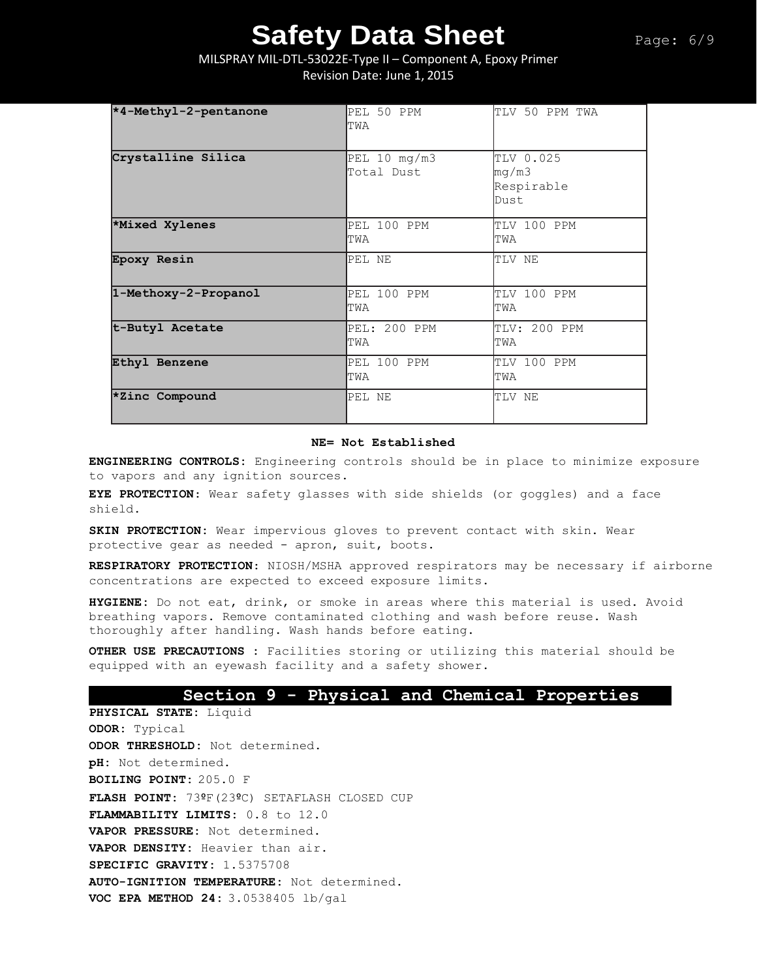### MILSPRAY MIL-DTL-53022E-Type II – Component A, Epoxy Primer Revision Date: June 1, 2015

| *4-Methyl-2-pentanone | PEL 50 PPM<br>TWA          | TLV 50 PPM TWA                           |
|-----------------------|----------------------------|------------------------------------------|
| Crystalline Silica    | PEL 10 mg/m3<br>Total Dust | TLV 0.025<br>mg/m3<br>Respirable<br>Dust |
| *Mixed Xylenes        | PEL 100 PPM<br>TWA         | TLV 100 PPM<br>TWA                       |
| Epoxy Resin           | PEL NE                     | TLV NE                                   |
| 1-Methoxy-2-Propanol  | PEL 100 PPM<br>TWA         | TLV 100 PPM<br>TWA                       |
| t-Butyl Acetate       | PEL: 200 PPM<br>TWA        | TLV: 200 PPM<br>TWA                      |
| Ethyl Benzene         | PEL 100 PPM<br>TWA         | TLV 100 PPM<br>TWA                       |
| *Zinc Compound        | PEL NE                     | TLV NE                                   |

#### **NE= Not Established**

**ENGINEERING CONTROLS:** Engineering controls should be in place to minimize exposure to vapors and any ignition sources.

**EYE PROTECTION**: Wear safety glasses with side shields (or goggles) and a face shield.

**SKIN PROTECTION:** Wear impervious gloves to prevent contact with skin. Wear protective gear as needed - apron, suit, boots.

**RESPIRATORY PROTECTION**: NIOSH/MSHA approved respirators may be necessary if airborne concentrations are expected to exceed exposure limits.

**HYGIENE:** Do not eat, drink, or smoke in areas where this material is used. Avoid breathing vapors. Remove contaminated clothing and wash before reuse. Wash thoroughly after handling. Wash hands before eating.

**OTHER USE PRECAUTIONS :** Facilities storing or utilizing this material should be equipped with an eyewash facility and a safety shower.

### **Section 9 - Physical and Chemical Properties**

**PHYSICAL STATE:** Liquid **ODOR:** Typical **ODOR THRESHOLD:** Not determined. **pH:** Not determined. **BOILING POINT:** 205.0 F **FLASH POINT:** 73ºF(23ºC) SETAFLASH CLOSED CUP **FLAMMABILITY LIMITS:** 0.8 to 12.0 **VAPOR PRESSURE:** Not determined. **VAPOR DENSITY:** Heavier than air. **SPECIFIC GRAVITY:** 1.5375708 **AUTO-IGNITION TEMPERATURE:** Not determined. **VOC EPA METHOD 24:** 3.0538405 lb/gal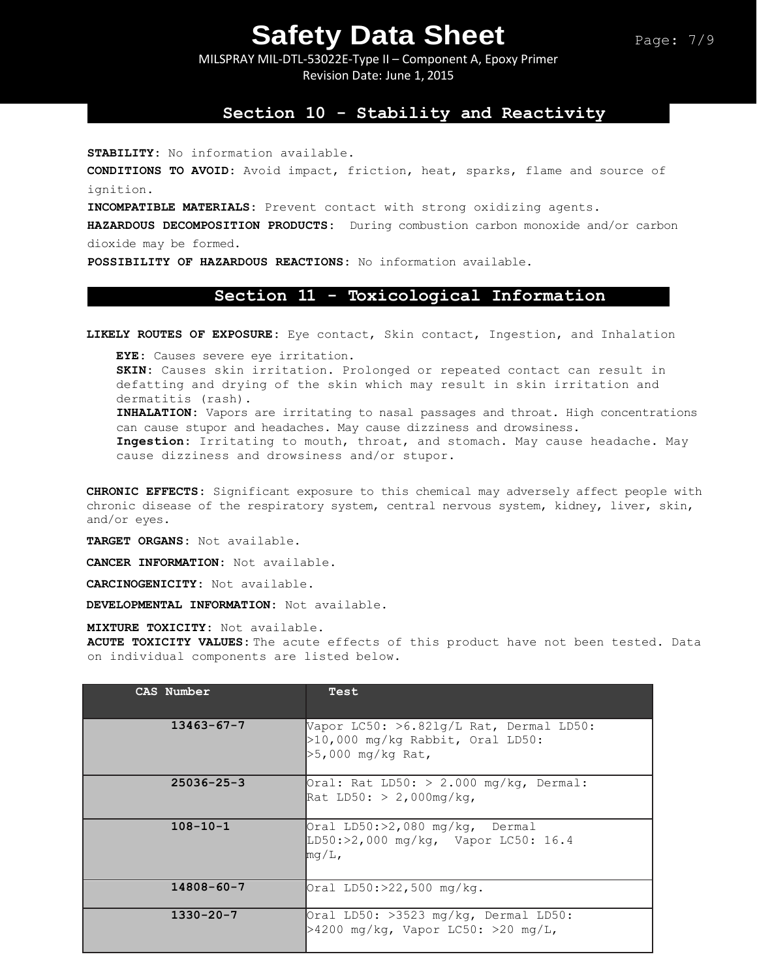MILSPRAY MIL-DTL-53022E-Type II – Component A, Epoxy Primer Revision Date: June 1, 2015

### **Section 10 - Stability and Reactivity**

**STABILITY:** No information available.

**CONDITIONS TO AVOID:** Avoid impact, friction, heat, sparks, flame and source of ignition.

**INCOMPATIBLE MATERIALS:** Prevent contact with strong oxidizing agents.

**HAZARDOUS DECOMPOSITION PRODUCTS:** During combustion carbon monoxide and/or carbon dioxide may be formed.

**POSSIBILITY OF HAZARDOUS REACTIONS:** No information available.

#### **Section 11 - Toxicological Information**

**LIKELY ROUTES OF EXPOSURE:** Eye contact, Skin contact, Ingestion, and Inhalation

**EYE:** Causes severe eye irritation. **SKIN:** Causes skin irritation. Prolonged or repeated contact can result in defatting and drying of the skin which may result in skin irritation and dermatitis (rash). **INHALATION:** Vapors are irritating to nasal passages and throat. High concentrations can cause stupor and headaches. May cause dizziness and drowsiness. **Ingestion:** Irritating to mouth, throat, and stomach. May cause headache. May cause dizziness and drowsiness and/or stupor.

**CHRONIC EFFECTS:** Significant exposure to this chemical may adversely affect people with chronic disease of the respiratory system, central nervous system, kidney, liver, skin, and/or eyes.

**TARGET ORGANS:** Not available.

**CANCER INFORMATION:** Not available.

**CARCINOGENICITY:** Not available.

**DEVELOPMENTAL INFORMATION:** Not available.

**MIXTURE TOXICITY:** Not available.

**ACUTE TOXICITY VALUES:** The acute effects of this product have not been tested. Data on individual components are listed below.

| CAS Number       | Test                                                                                                   |
|------------------|--------------------------------------------------------------------------------------------------------|
| $13463 - 67 - 7$ | Vapor LC50: $>6.821q/L$ Rat, Dermal LD50:<br>$>10,000$ mg/kg Rabbit, Oral LD50:<br>$>5,000$ mg/kg Rat, |
| $25036 - 25 - 3$ | $\text{Oral: Rat LD50:} > 2.000 \text{ mg/kg}$ , Dermal:<br>Rat LD50: $> 2,000$ mg/kg,                 |
| $108 - 10 - 1$   | $Oral LD50:>2,080 mg/kg$ , Dermal<br>$LD50:>2,000$ mg/kg, Vapor LC50: 16.4<br>$mq/L$ ,                 |
| $14808 - 60 - 7$ | $Oral$ LD50:>22,500 mg/kg.                                                                             |
| $1330 - 20 - 7$  | Oral LD50: $>3523$ mg/kg, Dermal LD50:<br>>4200 mg/kg, Vapor LC50: >20 mg/L,                           |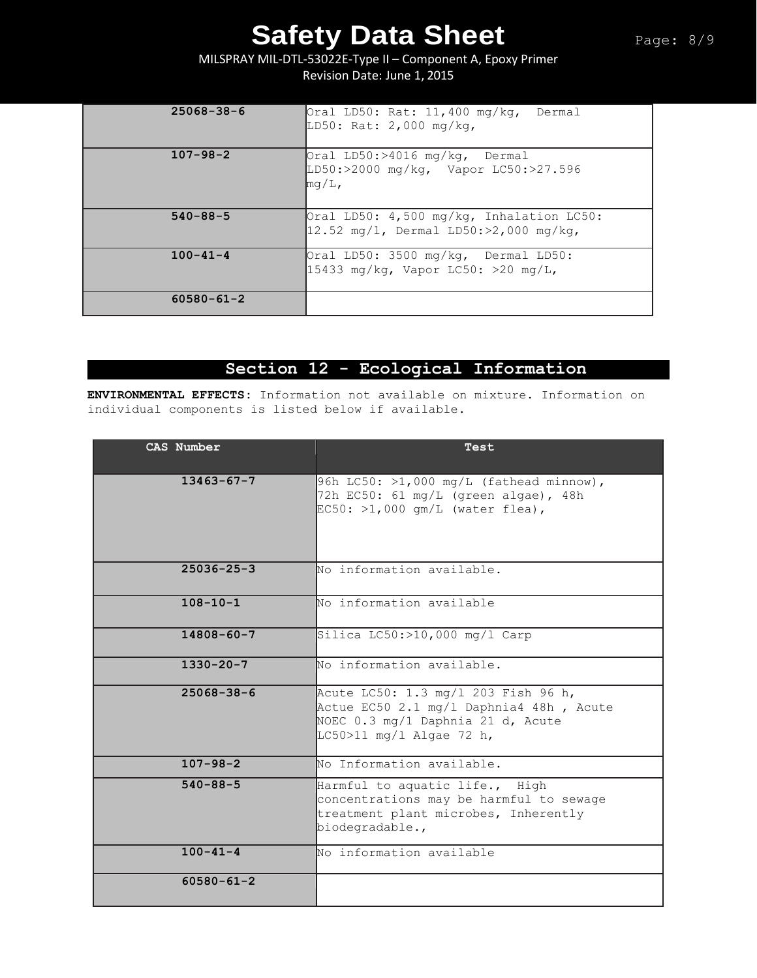MILSPRAY MIL-DTL-53022E-Type II – Component A, Epoxy Primer Revision Date: June 1, 2015

| $25068 - 38 - 6$ | Oral LD50: Rat: 11,400 mg/kg, Dermal<br>LD50: Rat: 2,000 mg/kg,                                |
|------------------|------------------------------------------------------------------------------------------------|
| $107 - 98 - 2$   | Oral LD50:>4016 mg/kg, Dermal<br>LD50:>2000 mg/kg, Vapor LC50:>27.596<br>$\mathbb{m}$ q/L,     |
| $540 - 88 - 5$   | Oral LD50: $4,500$ mg/kg, Inhalation LC50:<br>$12.52 \text{ mg/l}$ , Dermal LD50:>2,000 mg/kg, |
| $100 - 41 - 4$   | Oral LD50: 3500 mg/kg, Dermal LD50:<br>15433 mg/kg, Vapor LC50: >20 mg/L,                      |
| $60580 - 61 - 2$ |                                                                                                |

### **Section 12 - Ecological Information**

**ENVIRONMENTAL EFFECTS:** Information not available on mixture. Information on individual components is listed below if available.

| CAS Number       | Test                                                                                                                                            |
|------------------|-------------------------------------------------------------------------------------------------------------------------------------------------|
| $13463 - 67 - 7$ | 96h LC50: $>1,000$ mg/L (fathead minnow),<br>72h EC50: 61 mg/L (green algae), 48h<br>$EC50:$ >1,000 qm/L (water flea),                          |
| $25036 - 25 - 3$ | No information available.                                                                                                                       |
| $108 - 10 - 1$   | No information available                                                                                                                        |
| $14808 - 60 - 7$ | Silica $LC50$ : >10,000 mg/l Carp                                                                                                               |
| $1330 - 20 - 7$  | No information available.                                                                                                                       |
| $25068 - 38 - 6$ | Acute LC50: 1.3 mg/1 203 Fish 96 h,<br>Actue EC50 2.1 mg/l Daphnia4 48h, Acute<br>NOEC 0.3 mg/1 Daphnia 21 d, Acute<br>LC50>11 mg/l Algae 72 h, |
| $107 - 98 - 2$   | No Information available.                                                                                                                       |
| $540 - 88 - 5$   | Harmful to aquatic life., High<br>concentrations may be harmful to sewage<br>treatment plant microbes, Inherently<br>biodegradable.,            |
| $100 - 41 - 4$   | No information available                                                                                                                        |
| $60580 - 61 - 2$ |                                                                                                                                                 |